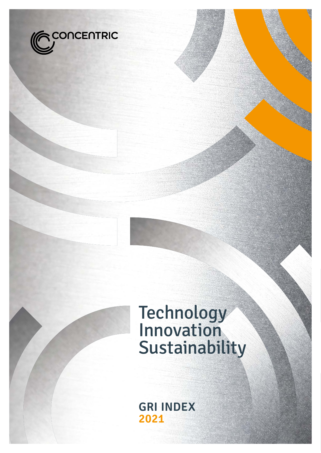

# Technology Innovation Sustainability

**GRI INDEX 2021**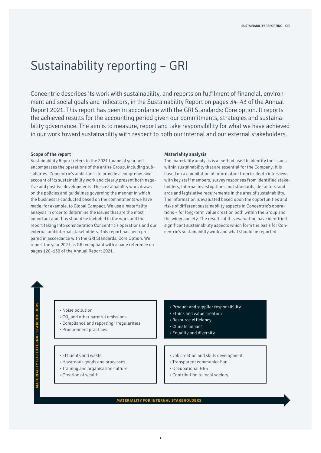## Sustainability reporting – GRI

Concentric describes its work with sustainability, and reports on fulfilment of financial, environment and social goals and indicators, in the Sustainability Report on pages 34–43 of the Annual Report 2021. This report has been in accordance with the GRI Standards: Core option. It reports the achieved results for the accounting period given our commitments, strategies and sustainability governance. The aim is to measure, report and take responsibility for what we have achieved in our work toward sustainability with respect to both our internal and our external stakeholders.

#### **Scope of the report**

Sustainability Report refers to the 2021 financial year and encompasses the operations of the entire Group, including subsidiaries. Concentric's ambition is to provide a comprehensive account of its sustainability work and clearly present both negative and positive developments. The sustainability work draws on the policies and guidelines governing the manner in which the business is conducted based on the commitments we have made, for example, to Global Compact. We use a materiality analysis in order to determine the issues that are the most important and thus should be included in the work and the report taking into consideration Concentric's operations and our external and internal stakeholders. This report has been prepared in accordance with the GRI Standards: Core Option. We report the year 2021 as GRI compliant with a page reference on pages 128–130 of the Annual Report 2021.

#### **Materiality analysis**

The materiality analysis is a method used to identify the issues within sustainability that are essential for the Company. It is based on a compilation of information from in-depth interviews with key staff members, survey responses from identified stakeholders, internal investigations and standards, de facto-standards and legislative requirements in the area of sustainability. The information is evaluated based upon the opportunities and risks of different sustainability aspects in Concentric's operations – for long-term value creation both within the Group and the wider society. The results of this evaluation have identified significant sustainability aspects which form the basis for Concentric's sustainability work and what should be reported.

- Noise pollution
- $\cdot$  CO $_2$  and other harmful emissions
- Compliance and reporting irregularities
- Procurement practices
- Product and supplier responsibility
- Ethics and value creation
- Resource efficiency
- 
- 

- Effluents and waste
- Hazardous goods and processes
- Training and organisation culture
- Creation of wealth
- Climate impact
- Equality and diversity
- Job creation and skills development
- Transparent communication
- Occupational H&S
- Contribution to local society

**MATERIALITY FOR INTERNAL STAKEHOLDERS**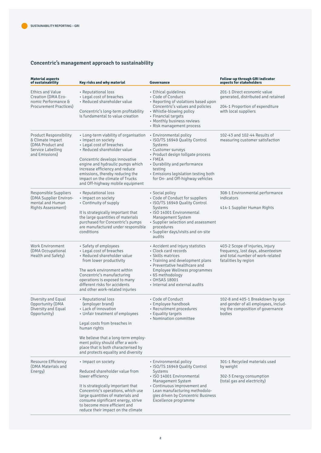### **Concentric's management approach to sustainability**

| <b>Material aspects</b><br>of sustainability                                                                 | Key risks and why material                                                                                                                                                                                                                                                                                                                | Governance                                                                                                                                                                                                                                                        | <b>Follow-up through GRI indicator</b><br>aspects for stakeholders                                                               |  |  |
|--------------------------------------------------------------------------------------------------------------|-------------------------------------------------------------------------------------------------------------------------------------------------------------------------------------------------------------------------------------------------------------------------------------------------------------------------------------------|-------------------------------------------------------------------------------------------------------------------------------------------------------------------------------------------------------------------------------------------------------------------|----------------------------------------------------------------------------------------------------------------------------------|--|--|
| <b>Ethics and Value</b><br>Creation (DMA Eco-<br>nomic Performance &                                         | • Reputational loss<br>• Legal cost of breaches<br>• Reduced shareholder value                                                                                                                                                                                                                                                            | • Ethical guidelines<br>• Code of Conduct<br>• Reporting of violations based upon                                                                                                                                                                                 | 201-1 Direct economic value<br>generated, distributed and retained                                                               |  |  |
| <b>Procurement Practices</b> )                                                                               | Concentric's long-term profitability<br>is fundamental to value creation                                                                                                                                                                                                                                                                  | Concentric's values and policies<br>• Whistle-blowing policy<br>• Financial targets<br>• Monthly business reviews<br>• Risk management process                                                                                                                    | 204-1 Proportion of expenditure<br>with local suppliers                                                                          |  |  |
| <b>Product Responsibility</b><br>& Climate Impact<br>(DMA Product and<br>Service Labelling<br>and Emissions) | • Long-term viability of organisation<br>• Impact on society<br>• Legal cost of breaches<br>• Reduced shareholder value<br>Concentric develops innovative<br>engine and hydraulic pumps which<br>increase efficiency and reduce<br>emissions, thereby reducing the<br>impact on the climate of Trucks<br>and Off-highway mobile equipment | • Environmental policy<br>• ISO/TS 16949 Quality Control<br>Systems<br>- Customer surveys<br>• Product design tollgate process<br>$-$ FMEA<br>• Durability and performance<br>testing<br>• Emissions legislation testing both<br>for On- and Off-highway vehicles | 102-43 and 102-44 Results of<br>measuring customer satisfaction                                                                  |  |  |
| Responsible Suppliers<br>(DMA Supplier Environ-<br>mental and Human<br>Rights Assessment)                    | • Reputational loss<br>• Impact on society<br>• Continuity of supply<br>It is strategically important that<br>the large quantities of materials<br>purchased for Concentric's pumps<br>are manufactured under responsible<br>conditions                                                                                                   | • Social policy<br>• Code of Conduct for suppliers<br>• ISO/TS 16949 Quality Control<br>Systems<br>• ISO 14001 Environmental<br><b>Management System</b><br>• Supplier selection and assessment<br>procedures<br>• Supplier days/visits and on-site<br>audits     | 308-1 Environmental performance<br>indicators<br>414-1 Supplier Human Rights                                                     |  |  |
| <b>Work Environment</b><br>(DMA Occupational<br>Health and Safety)                                           | • Safety of employees<br>• Legal cost of breaches<br>• Reduced shareholder value<br>from lower productivity<br>The work environment within<br>Concentric's manufacturing<br>operations is exposed to many<br>different risks for accidents<br>and other work-related injuries                                                             | • Accident and injury statistics<br>• Clock card records<br>• Skills matrices<br>• Training and development plans<br>• Preventative healthcare and<br>Employee Wellness programmes<br>• 6S methodology<br>• OHSAS 18001<br>• Internal and external audits         | 403-2 Scope of injuries, injury<br>frequency, lost days, absenteeism<br>and total number of work-related<br>fatalities by region |  |  |
| Diversity and Equal<br>Opportunity (DMA<br>Diversity and Equal<br>Opportunity)                               | • Reputational loss<br>(employer brand)<br>• Lack of innovation<br>• Unfair treatment of employees<br>Legal costs from breaches in<br>human rights<br>We believe that a long-term employ-<br>ment policy should offer a work-<br>place that is both characterised by<br>and protects equality and diversity                               | • Code of Conduct<br>• Employee handbook<br>• Recruitment procedures<br>• Equality targets<br>• Nomination committee                                                                                                                                              | 102-8 and 405-1 Breakdown by age<br>and gender of all employees, includ-<br>ing the composition of governance<br>bodies          |  |  |
| Resource Efficiency<br>(DMA Materials and<br>Energy)                                                         | • Impact on society<br>Reduced shareholder value from<br>lower efficiency<br>It is strategically important that<br>Concentric's operations, which use<br>large quantities of materials and<br>consume significant energy, strive<br>to become more efficient and<br>reduce their impact on the climate                                    | • Environmental policy<br>• ISO/TS 16949 Quality Control<br>Systems<br>• ISO 14001 Environmental<br>Management System<br>• Continuous improvement and<br>Lean manufacturing methodolo-<br>gies driven by Concentric Business<br>Excellence programme              | 301-1 Recycled materials used<br>by weight<br>302-3 Energy consumption<br>(total gas and electricity)                            |  |  |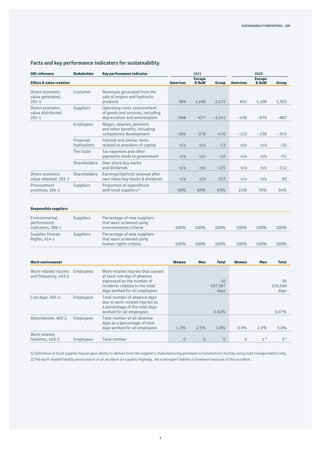| <b>GRI reference</b>                               | <b>Stakeholder</b>        | Key performance indicator                                                                                                                                          | 2021            |                        |                       | 2020            |                        |                       |
|----------------------------------------------------|---------------------------|--------------------------------------------------------------------------------------------------------------------------------------------------------------------|-----------------|------------------------|-----------------------|-----------------|------------------------|-----------------------|
| <b>Ethics &amp; value creation</b>                 |                           |                                                                                                                                                                    | <b>Americas</b> | <b>Europe</b><br>& RoW | Group                 | <b>Americas</b> | <b>Europe</b><br>& RoW | Group                 |
| Direct economic<br>value generated,<br>$201 - 1$   | Customer                  | Revenues generated from the<br>sale of engine and hydraulic<br>products                                                                                            | 999             | 1,496                  | 2,115                 | 651             | 1,108                  | 1,503                 |
| Direct economic<br>value distributed,<br>$201 - 1$ | Suppliers                 | Operating costs: procurement<br>of goods and services, including<br>depreciation and amortisation                                                                  | $-698$          | $-877$                 | $-1,241$              | $-436$          | $-679$                 | $-883$                |
|                                                    | Employees                 | Wages, salaries, pensions<br>and other benefits, including<br>competence development                                                                               | $-209$          | $-278$                 | $-470$                | $-123$          | $-238$                 | $-343$                |
|                                                    | Financial<br>Institutions | Interest and similar items<br>related to providers of capital                                                                                                      | n/a             | n/a                    | $-13$                 | n/a             | n/a                    | $-20$                 |
|                                                    | The State                 | Tax expenses and other<br>payments made to government                                                                                                              | n/a             | n/a                    | $-52$                 | n/a             | n/a                    | $-51$                 |
|                                                    | <b>Shareholders</b>       | Own share buy-backs<br>and dividends                                                                                                                               | n/a             | n/a                    | $-125$                | n/a             | n/a                    | $-112$                |
| Direct economic<br>value retained, 201-1           | Shareholders              | Earnings/(deficit) retained after<br>own share buy-backs & dividends                                                                                               | n/a             | n/a                    | 213                   | n/a             | n/a                    | 93                    |
| Procurement<br>practices, 204-1                    | Suppliers                 | Proportion of expenditure<br>with local suppliers <sup>1)</sup>                                                                                                    | 59%             | 65%                    | 63%                   | 21%             | 76%                    | 54%                   |
| <b>Responsible suppliers</b>                       |                           |                                                                                                                                                                    |                 |                        |                       |                 |                        |                       |
| Environmental<br>performance<br>indicators, 308-1  | Suppliers                 | Percentage of new suppliers<br>that were screened using<br>environmental criteria                                                                                  | 100%            | 100%                   | 100%                  | 100%            | 100%                   | 100%                  |
| Supplier Human<br>Rights, 414-1                    | Suppliers                 | Percentage of new suppliers<br>that were screened using<br>human rights criteria                                                                                   | 100%            | 100%                   | 100%                  | 100%            | 100%                   | 100%                  |
| <b>Work environment</b>                            |                           |                                                                                                                                                                    | Women           | Men                    | <b>Total</b>          | Women           | Men                    | <b>Total</b>          |
| Work-related injuries<br>and frequency, 403-2      | Employees                 | Work-related injuries that caused<br>at least one day of absence<br>expressed as the number of<br>incidents relative to the total<br>days worked for all employees |                 |                        | 10<br>197,597<br>days |                 |                        | 16<br>155,540<br>days |
| Lost days, 403-2                                   | Employees                 | Total number of absence days<br>due to work-related injuries as<br>a percentage of the total days<br>worked for all employees                                      |                 |                        | 0.02%                 |                 |                        | 0.07%                 |

### **Facts and key performance indicators for sustainability**

Absenteeism, 403-2 Employees Total number of all absence

Work-related

1) Definition of local supplier based upon ability to deliver from the supplier's manufacturing premises to Concentric's facility using road transportation only. 2) The work related fatality arose due to a car accident on a public highway. No contingent liability is foreseen because of this accident.

fatalities, 403-2 Employees Total number 0 0 0 0  $1^{2}$  1<sup>2)</sup> 1<sup>2)</sup>

days worked for all employees 1.3% 2.5% 3.8% 0.5% 2.6% 3.0%

days as a percentage of total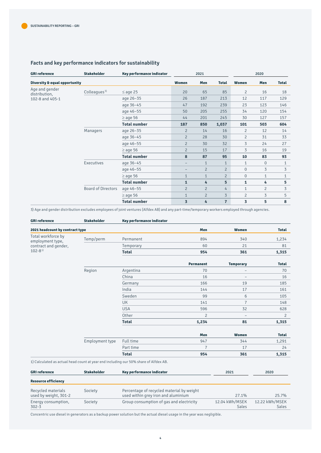### **Facts and key performance indicators for sustainability**

| <b>GRI reference</b>            | <b>Stakeholder</b>        | Key performance indicator |                          | 2021           |                |                         | 2020           |              |
|---------------------------------|---------------------------|---------------------------|--------------------------|----------------|----------------|-------------------------|----------------|--------------|
| Diversity & equal opportunity   |                           |                           | Women                    | Men            | <b>Total</b>   | Women                   | Men            | <b>Total</b> |
| Age and gender<br>distribution, | Colleagues <sup>3)</sup>  | $\leq$ age 25             | 20                       | 65             | 85             | $\overline{2}$          | 16             | 18           |
| 102-8 and 405-1                 |                           | age 26-35                 | 26                       | 187            | 213            | 12                      | 117            | 129          |
|                                 |                           | age 36-45                 | 47                       | 192            | 239            | 23                      | 123            | 146          |
|                                 |                           | age 46-55                 | 50                       | 205            | 255            | 34                      | 120            | 154          |
|                                 |                           | $\geq$ age 56             | 44                       | 201            | 245            | 30                      | 127            | 157          |
|                                 |                           | <b>Total number</b>       | 187                      | 850            | 1,037          | 101                     | 503            | 604          |
|                                 | Managers                  | age 26-35                 | $\overline{c}$           | 14             | 16             | $\overline{2}$          | 12             | 14           |
|                                 |                           | age 36-45                 | $\overline{c}$           | 28             | 30             | $\overline{2}$          | 31             | 33           |
|                                 |                           | age 46-55                 | $\overline{2}$           | 30             | 32             | 3                       | 24             | 27           |
|                                 |                           | $\geq$ age 56             | $\overline{2}$           | 15             | 17             | 3                       | 16             | 19           |
|                                 |                           | <b>Total number</b>       | 8                        | 87             | 95             | 10                      | 83             | 93           |
|                                 | Executives                | age 36-45                 | $\overline{\phantom{m}}$ | $\mathbf{1}$   | $\mathbf{1}$   | $\mathbf{1}$            | $\mathbf 0$    | 1            |
|                                 |                           | age 46-55                 | $\overline{\phantom{0}}$ | $\overline{c}$ | $\overline{2}$ | $\mathbf{0}$            | 3              | 3            |
|                                 |                           | $\geq$ age 56             | $\mathbf{1}$             | $\mathbf{1}$   | $\overline{2}$ | $\overline{0}$          | $\mathbf{1}$   | $\mathbf{1}$ |
|                                 |                           | <b>Total number</b>       | $\mathbf{1}$             | 4              | 5              | $\mathbf{1}$            | 4              | 5            |
|                                 | <b>Board of Directors</b> | age 46-55                 | $\overline{c}$           | $\overline{c}$ | 4              | $\mathbf{1}$            | $\overline{c}$ | 3            |
|                                 |                           | $\geq$ age 56             | $\mathbf{1}$             | $\overline{2}$ | $\overline{3}$ | $\overline{2}$          | 3              | 5            |
|                                 |                           | <b>Total number</b>       | $\overline{\mathbf{3}}$  | 4              | $\overline{7}$ | $\overline{\mathbf{3}}$ | 5              | 8            |

3) Age and gender distribution excludes employees of joint ventures (Alfdex AB) and any part-time/temporary workers employed through agencies.

| <b>GRI reference</b>                     | <b>Stakeholder</b> | Key performance indicator                                                            |                |                          |                |
|------------------------------------------|--------------------|--------------------------------------------------------------------------------------|----------------|--------------------------|----------------|
| 2021 headcount by contract type          |                    |                                                                                      | Men            | Women                    | <b>Total</b>   |
| Total workforce by                       | Temp/perm          | Permanent                                                                            | 894            | 340                      | 1,234          |
| employment type,<br>contract and gender, |                    | Temporary                                                                            | 60             | 21                       | 81             |
| $102 - 8^{1}$                            |                    | <b>Total</b>                                                                         | 954            | 361                      | 1,315          |
|                                          |                    |                                                                                      |                |                          |                |
|                                          |                    |                                                                                      | Permanent      | <b>Temporary</b>         | <b>Total</b>   |
|                                          | Region             | Argentina                                                                            | 70             | $\overline{\phantom{m}}$ | 70             |
|                                          |                    | China                                                                                | 16             |                          | 16             |
|                                          |                    | Germany                                                                              | 166            | 19                       | 185            |
|                                          |                    | India                                                                                | 144            | 17                       | 161            |
|                                          |                    | Sweden                                                                               | 99             | 6                        | 105            |
|                                          |                    | <b>UK</b>                                                                            | 141            | $\overline{7}$           | 148            |
|                                          |                    | <b>USA</b>                                                                           | 596            | 32                       | 628            |
|                                          |                    | Other                                                                                | $\overline{c}$ |                          | $\overline{c}$ |
|                                          |                    | <b>Total</b>                                                                         | 1,234          | 81                       | 1,315          |
|                                          |                    |                                                                                      | Men            | Women                    | <b>Total</b>   |
|                                          | Employment type    | Full time                                                                            | 947            | 344                      | 1,291          |
|                                          |                    | Part time                                                                            | $\overline{7}$ | 17                       | 24             |
|                                          |                    | <b>Total</b>                                                                         | 954            | 361                      | 1,315          |
|                                          |                    | 1) Calculated as actual head count at year end including our 50% share of Alfdex AB. |                |                          |                |
| <b>GRI reference</b>                     | <b>Stakeholder</b> | Key performance indicator                                                            |                | 2021                     | 2020           |

| <b>Resource efficiency</b>                  |         |                                                                                  |                         |                         |
|---------------------------------------------|---------|----------------------------------------------------------------------------------|-------------------------|-------------------------|
| Recycled materials<br>used by weight, 301-2 | Society | Percentage of recycled material by weight<br>used within grey iron and aluminium | 27.1%                   | 25.7%                   |
| Energy consumption,<br>$302 - 3$            | Society | Group consumption of gas and electricity                                         | 12.04 kWh/MSEK<br>Sales | 12.22 kWh/MSEK<br>Sales |

Concentric use diesel in generators as a backup power solution but the actual diesel usage in the year was negligible.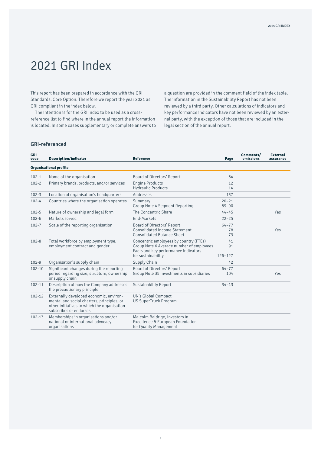# 2021 GRI Index

This report has been prepared in accordance with the GRI Standards: Core Option. Therefore we report the year 2021 as GRI compliant in the index below.

The intention is for the GRI Index to be used as a crossreference list to find where in the annual report the information is located. In some cases supplementary or complete answers to a question are provided in the comment field of the index table. The information in the Sustainability Report has not been reviewed by a third party. Other calculations of indicators and key performance indicators have not been reviewed by an external party, with the exception of those that are included in the legal section of the annual report.

#### **GRI-referenced**

| <b>GRI</b><br>code | <b>Description/indicator</b>                                                                                                                                   | <b>Reference</b>                                                                                                                                 | Page                    | Comments/<br>omissions | <b>External</b><br>assurance |
|--------------------|----------------------------------------------------------------------------------------------------------------------------------------------------------------|--------------------------------------------------------------------------------------------------------------------------------------------------|-------------------------|------------------------|------------------------------|
|                    | <b>Organisational profile</b>                                                                                                                                  |                                                                                                                                                  |                         |                        |                              |
| $102 - 1$          | Name of the organisation                                                                                                                                       | Board of Directors' Report                                                                                                                       | 64                      |                        |                              |
| $102 - 2$          | Primary brands, products, and/or services                                                                                                                      | <b>Engine Products</b><br><b>Hydraulic Products</b>                                                                                              | 12<br>14                |                        |                              |
| $102 - 3$          | Location of organisation's headquarters                                                                                                                        | Addresses                                                                                                                                        | 137                     |                        |                              |
| $102 - 4$          | Countries where the organisation operates                                                                                                                      | Summary<br>Group Note 4 Segment Reporting                                                                                                        | $20 - 21$<br>$89 - 90$  |                        |                              |
| $102 - 5$          | Nature of ownership and legal form                                                                                                                             | The Concentric Share                                                                                                                             | $44 - 45$               |                        | Yes                          |
| $102 - 6$          | Markets served                                                                                                                                                 | End-Markets                                                                                                                                      | $22 - 25$               |                        |                              |
| $102 - 7$          | Scale of the reporting organisation                                                                                                                            | Board of Directors' Report<br>Consolidated Income Statement<br><b>Consolidated Balance Sheet</b>                                                 | $64 - 77$<br>78<br>79   |                        | Yes                          |
| $102 - 8$          | Total workforce by employment type,<br>employment contract and gender                                                                                          | Concentric employees by country (FTEs)<br>Group Note 6 Average number of employees<br>Facts and key performance indicators<br>for sustainability | 41<br>91<br>$126 - 127$ |                        |                              |
| $102 - 9$          | Organisation's supply chain                                                                                                                                    | Supply Chain                                                                                                                                     | 42                      |                        |                              |
| $102 - 10$         | Significant changes during the reporting<br>period regarding size, structure, ownership<br>or supply chain                                                     | Board of Directors' Report<br>Group Note 35 Investments in subsidiaries                                                                          | $64 - 77$<br>104        |                        | Yes                          |
| $102 - 11$         | Description of how the Company addresses<br>the precautionary principle                                                                                        | <b>Sustainability Report</b>                                                                                                                     | $34 - 43$               |                        |                              |
| $102 - 12$         | Externally developed economic, environ-<br>mental and social charters, principles, or<br>other initiatives to which the organisation<br>subscribes or endorses | UN's Global Compact<br><b>US SuperTruck Program</b>                                                                                              |                         |                        |                              |
| $102 - 13$         | Memberships in organisations and/or<br>national or international advocacy<br>organisations                                                                     | Malcolm Baldrige, Investors in<br>Excellence & European Foundation<br>for Quality Management                                                     |                         |                        |                              |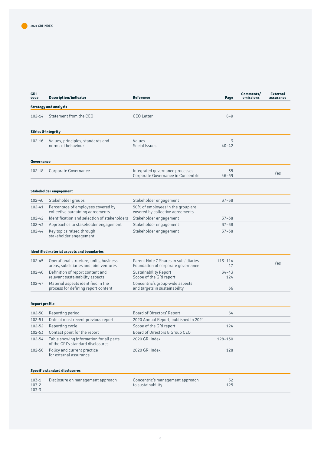| GRI<br>code                         | <b>Description/indicator</b>                                                     | <b>Reference</b>                                                           | Page              | Comments/<br>omissions | <b>External</b><br>assurance |
|-------------------------------------|----------------------------------------------------------------------------------|----------------------------------------------------------------------------|-------------------|------------------------|------------------------------|
|                                     | <b>Strategy and analysis</b>                                                     |                                                                            |                   |                        |                              |
| $102 - 14$                          | Statement from the CEO                                                           | <b>CEO Letter</b>                                                          | $6 - 9$           |                        |                              |
|                                     | <b>Ethics &amp; integrity</b>                                                    |                                                                            |                   |                        |                              |
| 102-16                              | Values, principles, standards and<br>norms of behaviour                          | Values<br>Social issues                                                    | 3<br>$40 - 42$    |                        |                              |
| Governance                          |                                                                                  |                                                                            |                   |                        |                              |
| 102-18                              | Corporate Governance                                                             | Integrated governance processes<br>Corporate Governance in Concentric      | 35<br>$46 - 59$   |                        | Yes                          |
|                                     | Stakeholder engagement                                                           |                                                                            |                   |                        |                              |
| 102-40                              | Stakeholder groups                                                               | Stakeholder engagement                                                     | $37 - 38$         |                        |                              |
| $102 - 41$                          | Percentage of employees covered by<br>collective bargaining agreements           | 50% of employees in the group are<br>covered by collective agreements      |                   |                        |                              |
| 102-42                              | Identification and selection of stakeholders                                     | Stakeholder engagement                                                     | $37 - 38$         |                        |                              |
| 102-43                              | Approaches to stakeholder engagement                                             | Stakeholder engagement                                                     | $37 - 38$         |                        |                              |
| 102-44                              | Key topics raised through<br>stakeholder engagement                              | Stakeholder engagement                                                     | $37 - 38$         |                        |                              |
|                                     | <b>Identified material aspects and boundaries</b>                                |                                                                            |                   |                        |                              |
| 102-45                              | Operational structure, units, business<br>areas, subsidiaries and joint ventures | Parent Note 7 Shares in subsidiaries<br>Foundation of corporate governance | $113 - 114$<br>47 |                        | Yes                          |
| 102-46                              | Definition of report content and<br>relevant sustainability aspects              | <b>Sustainability Report</b><br>Scope of the GRI report                    | $34 - 43$<br>124  |                        |                              |
| 102-47                              | Material aspects identified in the<br>process for defining report content        | Concentric's group-wide aspects<br>and targets in sustainability           | 36                |                        |                              |
| <b>Report profile</b>               |                                                                                  |                                                                            |                   |                        |                              |
| 102-50                              | Reporting period                                                                 | Board of Directors' Report                                                 | 64                |                        |                              |
| 102-51                              | Date of most recent previous report                                              | 2020 Annual Report, published in 2021                                      |                   |                        |                              |
| 102-52                              | Reporting cycle                                                                  | Scope of the GRI report                                                    | 124               |                        |                              |
| 102-53                              | Contact point for the report                                                     | Board of Directors & Group CEO                                             |                   |                        |                              |
| $102 - 54$                          | Table showing information for all parts<br>of the GRI's standard disclosures     | 2020 GRI Index                                                             | 128-130           |                        |                              |
| 102-56                              | Policy and current practice<br>for external assurance                            | 2020 GRI Index                                                             | 128               |                        |                              |
|                                     | <b>Specific standard disclosures</b>                                             |                                                                            |                   |                        |                              |
| $103 - 1$<br>$103 - 2$<br>$103 - 3$ | Disclosure on management approach                                                | Concentric's management approach<br>to sustainability                      | 52<br>125         |                        |                              |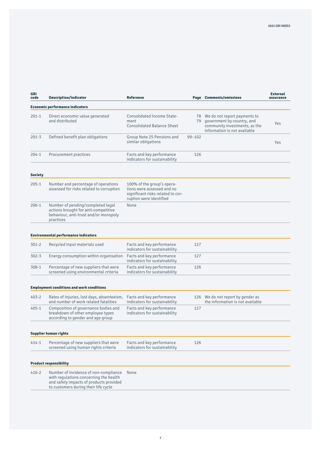| GRI<br>code    | Description/indicator                                                                                                                                              | <b>Reference</b>                                                                                                         |            | Page Comments/omissions                                                                                                        | <b>External</b><br>assurance |
|----------------|--------------------------------------------------------------------------------------------------------------------------------------------------------------------|--------------------------------------------------------------------------------------------------------------------------|------------|--------------------------------------------------------------------------------------------------------------------------------|------------------------------|
|                | <b>Economic performance indicators</b>                                                                                                                             |                                                                                                                          |            |                                                                                                                                |                              |
| $201 - 1$      | Direct economic value generated<br>and distributed                                                                                                                 | Consolidated Income State-<br>ment<br><b>Consolidated Balance Sheet</b>                                                  | 79         | 78 We do not report payments to<br>government by country, and<br>community investments, as the<br>information is not available | Yes                          |
| $201 - 3$      | Defined benefit plan obligations                                                                                                                                   | Group Note 25 Pensions and<br>similar obligations                                                                        | $99 - 102$ |                                                                                                                                | Yes                          |
| $204 - 1$      | Procurement practices                                                                                                                                              | Facts and key performance<br>indicators for sustainability                                                               | 126        |                                                                                                                                |                              |
| <b>Society</b> |                                                                                                                                                                    |                                                                                                                          |            |                                                                                                                                |                              |
| $205 - 1$      | Number and percentage of operations<br>assessed for risks related to corruption                                                                                    | 100% of the group's opera-<br>tions were assessed and no<br>significant risks related to cor-<br>ruption were identified |            |                                                                                                                                |                              |
| $206 - 1$      | Number of pending/completed legal<br>actions brought for anti-competitive<br>behaviour, anti-trust and/or monopoly<br>practices                                    | None                                                                                                                     |            |                                                                                                                                |                              |
|                | <b>Environmental performance indicators</b>                                                                                                                        |                                                                                                                          |            |                                                                                                                                |                              |
| $301 - 2$      | Recycled input materials used                                                                                                                                      | Facts and key performance<br>indicators for sustainability                                                               | 127        |                                                                                                                                |                              |
| $302 - 3$      | Energy consumption within organisation                                                                                                                             | Facts and key performance<br>indicators for sustainability                                                               | 127        |                                                                                                                                |                              |
| $308 - 1$      | Percentage of new suppliers that were<br>screened using environmental criteria                                                                                     | Facts and key performance<br>indicators for sustainability                                                               | 126        |                                                                                                                                |                              |
|                | <b>Employment conditions and work conditions</b>                                                                                                                   |                                                                                                                          |            |                                                                                                                                |                              |
| $403 - 2$      | Rates of injuries, lost days, absenteeism,<br>and number of work related fatalities                                                                                | Facts and key performance<br>indicators for sustainability                                                               |            | 126 We do not report by gender as<br>the information is not available                                                          |                              |
| $405 - 1$      | Composition of governance bodies and<br>breakdown of other employee types<br>according to gender and age group                                                     | Facts and key performance<br>indicators for sustainability                                                               | 127        |                                                                                                                                |                              |
|                | Supplier human rights                                                                                                                                              |                                                                                                                          |            |                                                                                                                                |                              |
| $414 - 1$      | Percentage of new suppliers that were<br>screened using human rights criteria                                                                                      | Facts and key performance<br>indicators for sustainability                                                               | 126        |                                                                                                                                |                              |
|                | <b>Product responsibility</b>                                                                                                                                      |                                                                                                                          |            |                                                                                                                                |                              |
| $416 - 2$      | Number of incidence of non-compliance<br>with regulations concerning the health<br>and safety impacts of products provided<br>to customers during their life cycle | None                                                                                                                     |            |                                                                                                                                |                              |